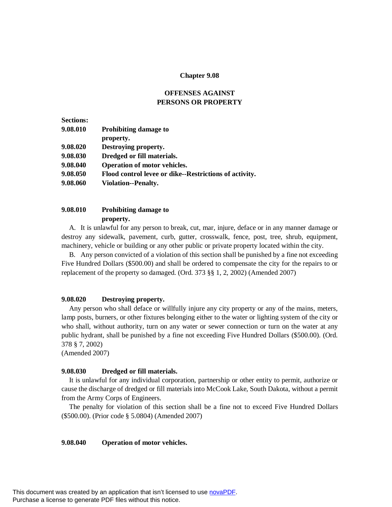### **Chapter 9.08**

# **OFFENSES AGAINST PERSONS OR PROPERTY**

| <b>Sections:</b> |                                                        |
|------------------|--------------------------------------------------------|
| 9.08.010         | <b>Prohibiting damage to</b>                           |
|                  | property.                                              |
| 9.08.020         | Destroying property.                                   |
| 9.08.030         | Dredged or fill materials.                             |
| 9.08.040         | <b>Operation of motor vehicles.</b>                    |
| 9.08.050         | Flood control levee or dike--Restrictions of activity. |
| 9.08.060         | Violation--Penalty.                                    |
|                  |                                                        |

# **9.08.010 Prohibiting damage to property.**

A. It is unlawful for any person to break, cut, mar, injure, deface or in any manner damage or destroy any sidewalk, pavement, curb, gutter, crosswalk, fence, post, tree, shrub, equipment, machinery, vehicle or building or any other public or private property located within the city.

B. Any person convicted of a violation of this section shall be punished by a fine not exceeding Five Hundred Dollars (\$500.00) and shall be ordered to compensate the city for the repairs to or replacement of the property so damaged. (Ord. 373 §§ 1, 2, 2002) (Amended 2007)

### **9.08.020 Destroying property.**

Any person who shall deface or willfully injure any city property or any of the mains, meters, lamp posts, burners, or other fixtures belonging either to the water or lighting system of the city or who shall, without authority, turn on any water or sewer connection or turn on the water at any public hydrant, shall be punished by a fine not exceeding Five Hundred Dollars (\$500.00). (Ord. 378 § 7, 2002)

(Amended 2007)

### **9.08.030 Dredged or fill materials.**

It is unlawful for any individual corporation, partnership or other entity to permit, authorize or cause the discharge of dredged or fill materials into McCook Lake, South Dakota, without a permit from the Army Corps of Engineers.

The penalty for violation of this section shall be a fine not to exceed Five Hundred Dollars (\$500.00). (Prior code § 5.0804) (Amended 2007)

### **9.08.040 Operation of motor vehicles.**

This document was created by an application that isn't licensed to use [novaPDF](http://www.novapdf.com/). Purchase a license to generate PDF files without this notice.